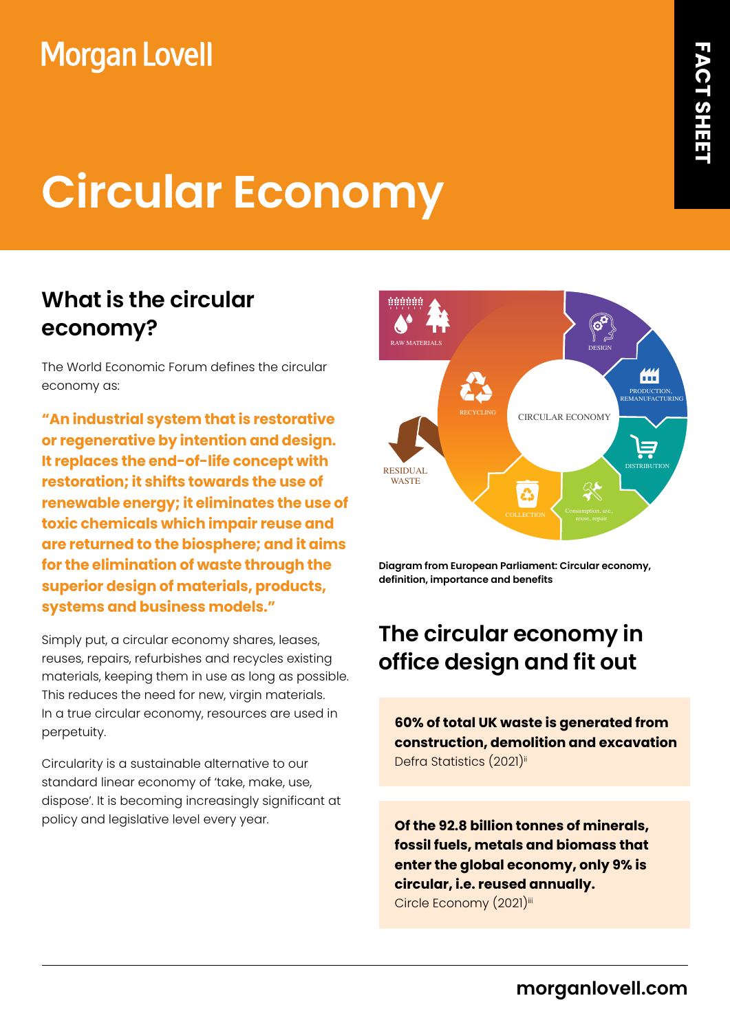## **Morgan Lovell**

# **Circular Economy**

## **What is the circular economy?**

The World Economic Forum defines the circular economy as:

**"An industrial system that is restorative or regenerative by intention and design. It replaces the end-of-life concept with restoration; it shifts towards the use of renewable energy; it eliminates the use of toxic chemicals which impair reuse and are returned to the biosphere; and it aims for the elimination of waste through the superior design of materials, products, systems and business models."**

Simply put, a circular economy shares, leases, reuses, repairs, refurbishes and recycles existing materials, keeping them in use as long as possible. This reduces the need for new, virgin materials. In a true circular economy, resources are used in perpetuity.

Circularity is a sustainable alternative to our standard linear economy of 'take, make, use, dispose'. It is becoming increasingly significant at policy and legislative level every year.



**Diagram from European Parliament: Circular economy, definition, importance and benefits**

## **The circular economy in office design and fit out**

**60% of total UK waste is generated from construction, demolition and excavation** Defra Statistics (2021)ii

**Of the 92.8 billion tonnes of minerals, fossil fuels, metals and biomass that enter the global economy, only 9% is circular, i.e. reused annually.**  Circle Economy (2021)iii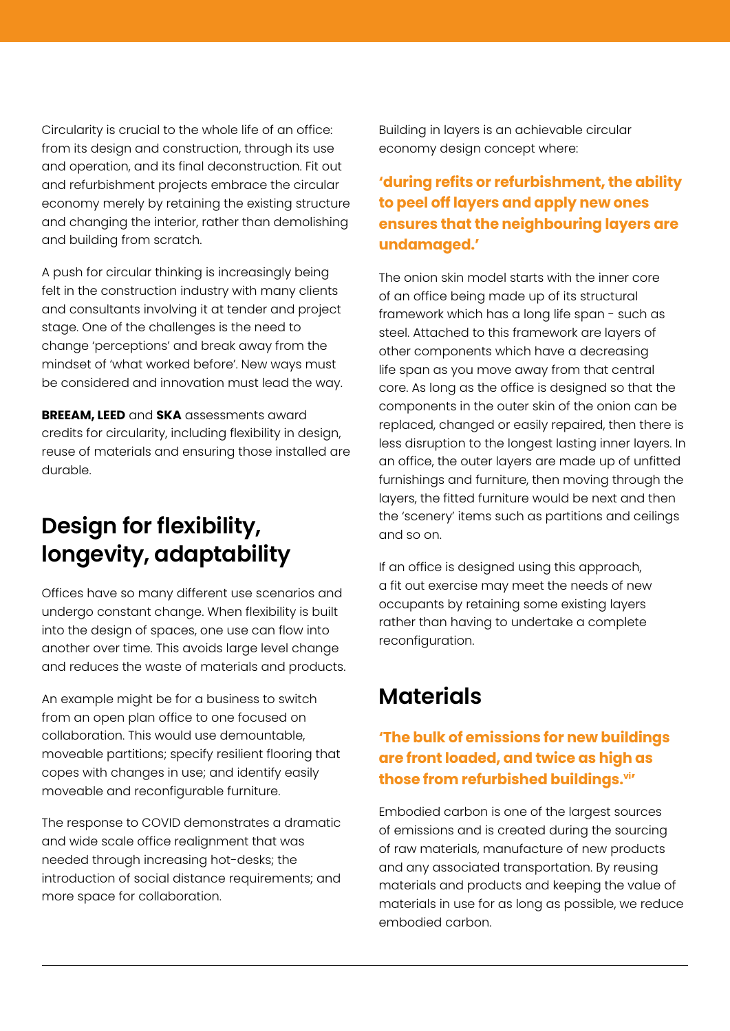Circularity is crucial to the whole life of an office: from its design and construction, through its use and operation, and its final deconstruction. Fit out and refurbishment projects embrace the circular economy merely by retaining the existing structure and changing the interior, rather than demolishing and building from scratch.

A push for circular thinking is increasingly being felt in the construction industry with many clients and consultants involving it at tender and project stage. One of the challenges is the need to change 'perceptions' and break away from the mindset of 'what worked before'. New ways must be considered and innovation must lead the way.

**BREEAM, LEED** and **SKA** assessments award credits for circularity, including flexibility in design, reuse of materials and ensuring those installed are durable.

## **Design for flexibility, longevity, adaptability**

Offices have so many different use scenarios and undergo constant change. When flexibility is built into the design of spaces, one use can flow into another over time. This avoids large level change and reduces the waste of materials and products.

An example might be for a business to switch from an open plan office to one focused on collaboration. This would use demountable, moveable partitions; specify resilient flooring that copes with changes in use; and identify easily moveable and reconfigurable furniture.

The response to COVID demonstrates a dramatic and wide scale office realignment that was needed through increasing hot-desks; the introduction of social distance requirements; and more space for collaboration.

Building in layers is an achievable circular economy design concept where:

#### **'during refits or refurbishment, the ability to peel off layers and apply new ones ensures that the neighbouring layers are undamaged.'**

The onion skin model starts with the inner core of an office being made up of its structural framework which has a long life span - such as steel. Attached to this framework are layers of other components which have a decreasing life span as you move away from that central core. As long as the office is designed so that the components in the outer skin of the onion can be replaced, changed or easily repaired, then there is less disruption to the longest lasting inner layers. In an office, the outer layers are made up of unfitted furnishings and furniture, then moving through the layers, the fitted furniture would be next and then the 'scenery' items such as partitions and ceilings and so on.

If an office is designed using this approach, a fit out exercise may meet the needs of new occupants by retaining some existing layers rather than having to undertake a complete reconfiguration.

## **Materials**

#### **'The bulk of emissions for new buildings are front loaded, and twice as high as those from refurbished buildings.vi'**

Embodied carbon is one of the largest sources of emissions and is created during the sourcing of raw materials, manufacture of new products and any associated transportation. By reusing materials and products and keeping the value of materials in use for as long as possible, we reduce embodied carbon.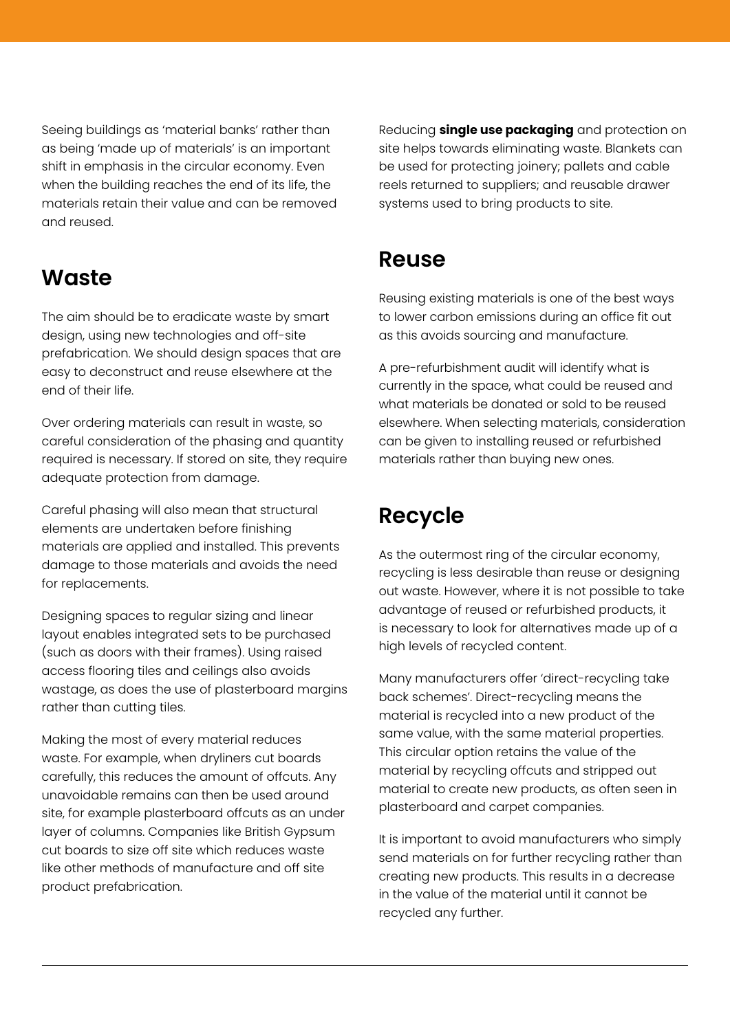Seeing buildings as 'material banks' rather than as being 'made up of materials' is an important shift in emphasis in the circular economy. Even when the building reaches the end of its life, the materials retain their value and can be removed and reused.

#### **Waste**

The aim should be to eradicate waste by smart design, using new technologies and off-site prefabrication. We should design spaces that are easy to deconstruct and reuse elsewhere at the end of their life.

Over ordering materials can result in waste, so careful consideration of the phasing and quantity required is necessary. If stored on site, they require adequate protection from damage.

Careful phasing will also mean that structural elements are undertaken before finishing materials are applied and installed. This prevents damage to those materials and avoids the need for replacements.

Designing spaces to regular sizing and linear layout enables integrated sets to be purchased (such as doors with their frames). Using raised access flooring tiles and ceilings also avoids wastage, as does the use of plasterboard margins rather than cutting tiles.

Making the most of every material reduces waste. For example, when dryliners cut boards carefully, this reduces the amount of offcuts. Any unavoidable remains can then be used around site, for example plasterboard offcuts as an under layer of columns. Companies like British Gypsum cut boards to size off site which reduces waste like other methods of manufacture and off site product prefabrication.

Reducing **single use packaging** and protection on site helps towards eliminating waste. Blankets can be used for protecting joinery; pallets and cable reels returned to suppliers; and reusable drawer systems used to bring products to site.

#### **Reuse**

Reusing existing materials is one of the best ways to lower carbon emissions during an office fit out as this avoids sourcing and manufacture.

A pre-refurbishment audit will identify what is currently in the space, what could be reused and what materials be donated or sold to be reused elsewhere. When selecting materials, consideration can be given to installing reused or refurbished materials rather than buying new ones.

## **Recycle**

As the outermost ring of the circular economy, recycling is less desirable than reuse or designing out waste. However, where it is not possible to take advantage of reused or refurbished products, it is necessary to look for alternatives made up of a high levels of recycled content.

Many manufacturers offer 'direct-recycling take back schemes'. Direct-recycling means the material is recycled into a new product of the same value, with the same material properties. This circular option retains the value of the material by recycling offcuts and stripped out material to create new products, as often seen in plasterboard and carpet companies.

It is important to avoid manufacturers who simply send materials on for further recycling rather than creating new products. This results in a decrease in the value of the material until it cannot be recycled any further.